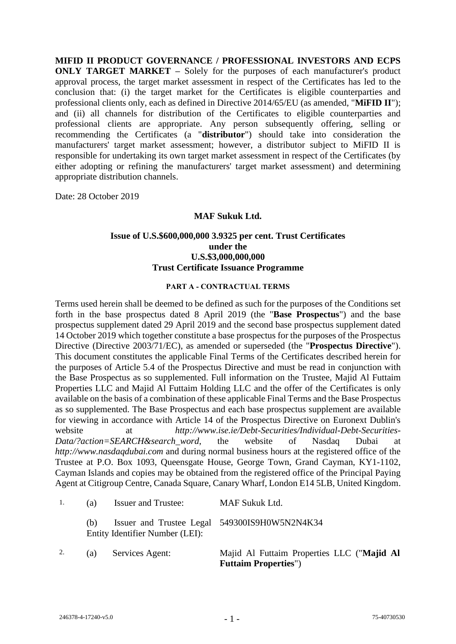**MIFID II PRODUCT GOVERNANCE / PROFESSIONAL INVESTORS AND ECPS ONLY TARGET MARKET** – Solely for the purposes of each manufacturer's product approval process, the target market assessment in respect of the Certificates has led to the conclusion that: (i) the target market for the Certificates is eligible counterparties and professional clients only, each as defined in Directive 2014/65/EU (as amended, "**MiFID II**"); and (ii) all channels for distribution of the Certificates to eligible counterparties and professional clients are appropriate. Any person subsequently offering, selling or recommending the Certificates (a "**distributor**") should take into consideration the manufacturers' target market assessment; however, a distributor subject to MiFID II is responsible for undertaking its own target market assessment in respect of the Certificates (by either adopting or refining the manufacturers' target market assessment) and determining appropriate distribution channels.

Date: 28 October 2019

### **MAF Sukuk Ltd.**

### **Issue of U.S.\$600,000,000 3.9325 per cent. Trust Certificates under the U.S.\$3,000,000,000 Trust Certificate Issuance Programme**

#### **PART A - CONTRACTUAL TERMS**

Terms used herein shall be deemed to be defined as such for the purposes of the Conditions set forth in the base prospectus dated 8 April 2019 (the "**Base Prospectus**") and the base prospectus supplement dated 29 April 2019 and the second base prospectus supplement dated 14 October 2019 which together constitute a base prospectus for the purposes of the Prospectus Directive (Directive 2003/71/EC), as amended or superseded (the "**Prospectus Directive**"). This document constitutes the applicable Final Terms of the Certificates described herein for the purposes of Article 5.4 of the Prospectus Directive and must be read in conjunction with the Base Prospectus as so supplemented. Full information on the Trustee, Majid Al Futtaim Properties LLC and Majid Al Futtaim Holding LLC and the offer of the Certificates is only available on the basis of a combination of these applicable Final Terms and the Base Prospectus as so supplemented. The Base Prospectus and each base prospectus supplement are available for viewing in accordance with Article 14 of the Prospectus Directive on Euronext Dublin's website at *http://www.ise.ie/Debt-Securities/Individual-Debt-Securities-Data/?action=SEARCH&search\_word*, the website of Nasdaq Dubai at *http://www.nasdaqdubai.com* and during normal business hours at the registered office of the Trustee at P.O. Box 1093, Queensgate House, George Town, Grand Cayman, KY1-1102, Cayman Islands and copies may be obtained from the registered office of the Principal Paying Agent at Citigroup Centre, Canada Square, Canary Wharf, London E14 5LB, United Kingdom.

| 1. | (a) | <b>Issuer and Trustee:</b>      | MAF Sukuk Ltd.                                                             |
|----|-----|---------------------------------|----------------------------------------------------------------------------|
|    | (b) | Entity Identifier Number (LEI): | Issuer and Trustee Legal 549300IS9H0W5N2N4K34                              |
| 2. | (a) | Services Agent:                 | Majid Al Futtaim Properties LLC ("Majid Al<br><b>Futtaim Properties"</b> ) |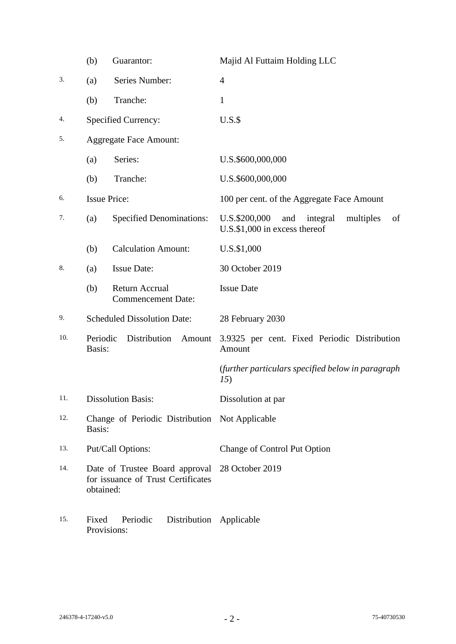|     | (b)                                                                                               | Guarantor:                                  | Majid Al Futtaim Holding LLC                                                         |
|-----|---------------------------------------------------------------------------------------------------|---------------------------------------------|--------------------------------------------------------------------------------------|
| 3.  | (a)                                                                                               | Series Number:                              | $\overline{4}$                                                                       |
|     | (b)                                                                                               | Tranche:                                    | $\mathbf{1}$                                                                         |
| 4.  |                                                                                                   | <b>Specified Currency:</b>                  | $U.S.\$                                                                              |
| 5.  | <b>Aggregate Face Amount:</b>                                                                     |                                             |                                                                                      |
|     | (a)                                                                                               | Series:                                     | U.S.\$600,000,000                                                                    |
|     | (b)                                                                                               | Tranche:                                    | U.S.\$600,000,000                                                                    |
| 6.  | <b>Issue Price:</b>                                                                               |                                             | 100 per cent. of the Aggregate Face Amount                                           |
| 7.  | (a)                                                                                               | <b>Specified Denominations:</b>             | U.S.\$200,000<br>and<br>integral<br>multiples<br>of<br>U.S.\$1,000 in excess thereof |
|     | (b)                                                                                               | <b>Calculation Amount:</b>                  | U.S.\$1,000                                                                          |
| 8.  | (a)                                                                                               | <b>Issue Date:</b>                          | 30 October 2019                                                                      |
|     | (b)                                                                                               | Return Accrual<br><b>Commencement Date:</b> | <b>Issue Date</b>                                                                    |
| 9.  |                                                                                                   | <b>Scheduled Dissolution Date:</b>          | 28 February 2030                                                                     |
| 10. | Periodic<br>Basis:                                                                                | Distribution<br>Amount                      | 3.9325 per cent. Fixed Periodic Distribution<br>Amount                               |
|     |                                                                                                   |                                             | (further particulars specified below in paragraph<br>15)                             |
| 11. |                                                                                                   | <b>Dissolution Basis:</b>                   | Dissolution at par                                                                   |
| 12. | Change of Periodic Distribution Not Applicable<br>Basis:                                          |                                             |                                                                                      |
| 13. | Put/Call Options:                                                                                 |                                             | Change of Control Put Option                                                         |
| 14. | Date of Trustee Board approval 28 October 2019<br>for issuance of Trust Certificates<br>obtained: |                                             |                                                                                      |
| 15. | Fixed<br>Provisions:                                                                              | Periodic<br>Distribution                    | Applicable                                                                           |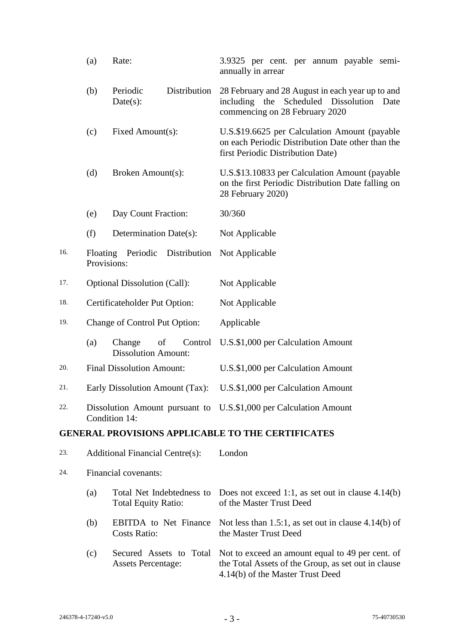|     | (a)                     | Rate:                                                   | 3.9325 per cent. per annum payable semi-<br>annually in arrear                                                                              |
|-----|-------------------------|---------------------------------------------------------|---------------------------------------------------------------------------------------------------------------------------------------------|
|     | (b)                     | Distribution<br>Periodic<br>$Date(s)$ :                 | 28 February and 28 August in each year up to and<br>including the<br>Scheduled Dissolution<br>Date<br>commencing on 28 February 2020        |
|     | (c)                     | Fixed Amount(s):                                        | U.S.\$19.6625 per Calculation Amount (payable<br>on each Periodic Distribution Date other than the<br>first Periodic Distribution Date)     |
|     | (d)                     | Broken Amount(s):                                       | U.S.\$13.10833 per Calculation Amount (payable<br>on the first Periodic Distribution Date falling on<br>28 February 2020)                   |
|     | (e)                     | Day Count Fraction:                                     | 30/360                                                                                                                                      |
|     | (f)                     | Determination Date(s):                                  | Not Applicable                                                                                                                              |
| 16. | Floating<br>Provisions: | Periodic<br>Distribution                                | Not Applicable                                                                                                                              |
| 17. |                         | <b>Optional Dissolution (Call):</b>                     | Not Applicable                                                                                                                              |
| 18. |                         | Certificateholder Put Option:                           | Not Applicable                                                                                                                              |
| 19. |                         | Change of Control Put Option:                           | Applicable                                                                                                                                  |
|     | (a)                     | Change<br>of<br>Control<br><b>Dissolution Amount:</b>   | U.S.\$1,000 per Calculation Amount                                                                                                          |
| 20. |                         | <b>Final Dissolution Amount:</b>                        | U.S.\$1,000 per Calculation Amount                                                                                                          |
| 21. |                         | Early Dissolution Amount (Tax):                         | U.S.\$1,000 per Calculation Amount                                                                                                          |
| 22. |                         | Condition 14:                                           | Dissolution Amount pursuant to U.S.\$1,000 per Calculation Amount                                                                           |
|     |                         |                                                         | <b>GENERAL PROVISIONS APPLICABLE TO THE CERTIFICATES</b>                                                                                    |
| 23. |                         | <b>Additional Financial Centre(s):</b>                  | London                                                                                                                                      |
| 24. |                         | Financial covenants:                                    |                                                                                                                                             |
|     | (a)                     | Total Net Indebtedness to<br><b>Total Equity Ratio:</b> | Does not exceed 1:1, as set out in clause $4.14(b)$<br>of the Master Trust Deed                                                             |
|     | (b)                     | <b>EBITDA</b> to Net Finance<br><b>Costs Ratio:</b>     | Not less than 1.5:1, as set out in clause $4.14(b)$ of<br>the Master Trust Deed                                                             |
|     | (c)                     | Secured Assets to Total<br><b>Assets Percentage:</b>    | Not to exceed an amount equal to 49 per cent. of<br>the Total Assets of the Group, as set out in clause<br>4.14(b) of the Master Trust Deed |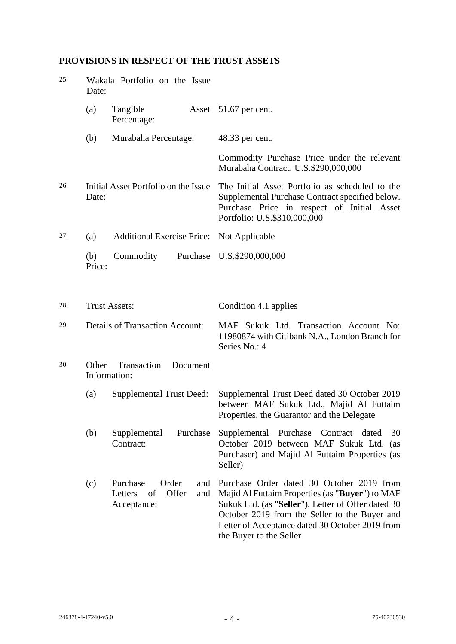# **PROVISIONS IN RESPECT OF THE TRUST ASSETS**

| 25. | Date:                                            | Wakala Portfolio on the Issue                                            |                                                                                                                                                                                                                                                                                   |
|-----|--------------------------------------------------|--------------------------------------------------------------------------|-----------------------------------------------------------------------------------------------------------------------------------------------------------------------------------------------------------------------------------------------------------------------------------|
|     | (a)                                              | Tangible<br>Percentage:                                                  | Asset 51.67 per cent.                                                                                                                                                                                                                                                             |
|     | (b)                                              | Murabaha Percentage:                                                     | 48.33 per cent.                                                                                                                                                                                                                                                                   |
|     |                                                  |                                                                          | Commodity Purchase Price under the relevant<br>Murabaha Contract: U.S.\$290,000,000                                                                                                                                                                                               |
| 26. | Date:                                            | Initial Asset Portfolio on the Issue                                     | The Initial Asset Portfolio as scheduled to the<br>Supplemental Purchase Contract specified below.<br>Purchase Price in respect of Initial Asset<br>Portfolio: U.S.\$310,000,000                                                                                                  |
| 27. | (a)                                              | <b>Additional Exercise Price:</b>                                        | Not Applicable                                                                                                                                                                                                                                                                    |
|     | (b)<br>Price:                                    | Commodity                                                                | Purchase U.S.\$290,000,000                                                                                                                                                                                                                                                        |
| 28. |                                                  | <b>Trust Assets:</b>                                                     | Condition 4.1 applies                                                                                                                                                                                                                                                             |
| 29. |                                                  | <b>Details of Transaction Account:</b>                                   | MAF Sukuk Ltd. Transaction Account No:<br>11980874 with Citibank N.A., London Branch for<br>Series No.: 4                                                                                                                                                                         |
| 30. | Transaction<br>Other<br>Document<br>Information: |                                                                          |                                                                                                                                                                                                                                                                                   |
|     | (a)                                              | <b>Supplemental Trust Deed:</b>                                          | Supplemental Trust Deed dated 30 October 2019<br>between MAF Sukuk Ltd., Majid Al Futtaim<br>Properties, the Guarantor and the Delegate                                                                                                                                           |
|     | (b)                                              | Purchase<br>Supplemental<br>Contract:                                    | Supplemental<br>Purchase<br>Contract<br>dated<br>30<br>October 2019 between MAF Sukuk Ltd. (as<br>Purchaser) and Majid Al Futtaim Properties (as<br>Seller)                                                                                                                       |
|     | (c)                                              | Purchase<br>Order<br>and<br>Offer<br>Letters<br>of<br>and<br>Acceptance: | Purchase Order dated 30 October 2019 from<br>Majid Al Futtaim Properties (as "Buyer") to MAF<br>Sukuk Ltd. (as "Seller"), Letter of Offer dated 30<br>October 2019 from the Seller to the Buyer and<br>Letter of Acceptance dated 30 October 2019 from<br>the Buyer to the Seller |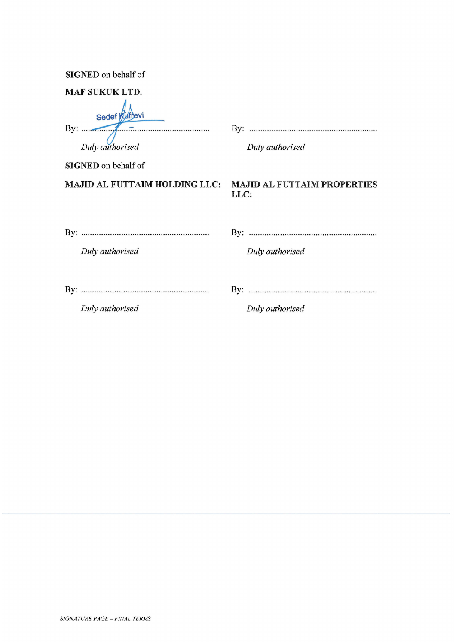SIGNED on behalf of

| <b>MAF SUKUK LTD.</b>                                            |                 |
|------------------------------------------------------------------|-----------------|
| Sedef Kuffevi<br>By: $\frac{1}{\sqrt{2}}$<br>Duly authorised     | Duly authorised |
| <b>SIGNED</b> on behalf of                                       |                 |
| <b>MAJID AL FUTTAIM HOLDING LLC: MAJID AL FUTTAIM PROPERTIES</b> | LLC:            |
| Duly authorised                                                  | Duly authorised |
| Duly authorised                                                  | Duly authorised |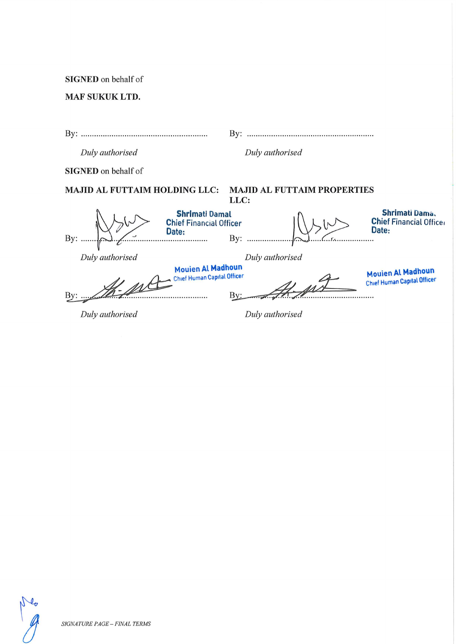SIGNED on behalf of

MAF SUKUK LTD.

| By:                                  | By:                                                            |                                                                |
|--------------------------------------|----------------------------------------------------------------|----------------------------------------------------------------|
| Duly authorised                      | Duly authorised                                                |                                                                |
| <b>SIGNED</b> on behalf of           |                                                                |                                                                |
| <b>MAJID AL FUTTAIM HOLDING LLC:</b> | <b>MAJID AL FUTTAIM PROPERTIES</b><br>LLC:                     |                                                                |
| Date:<br>By:<br>.                    | <b>Shrimati Damal</b><br><b>Chief Financial Officer</b><br>By: | Shrimati Dama.<br><b>Chief Financial Officer</b><br>Date:      |
| Duly authorised                      | Duly authorised                                                |                                                                |
| By:                                  | <b>Mouien Al Madhoun</b><br><b>Chief Human Capital Officer</b> | <b>Mouien Al Madhoun</b><br><b>Chief Human Capital Officer</b> |
| Duly authorised                      | Duly authorised                                                |                                                                |

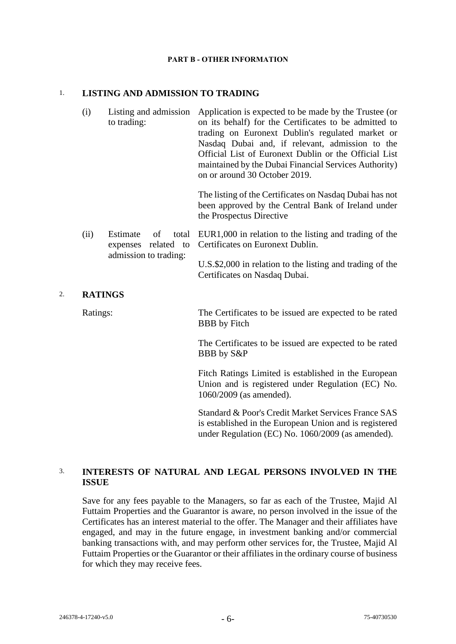#### **PART B - OTHER INFORMATION**

#### 1. **LISTING AND ADMISSION TO TRADING**

(i) Listing and admission Application is expected to be made by the Trustee (or to trading: on its behalf) for the Certificates to be admitted to trading on Euronext Dublin's regulated market or Nasdaq Dubai and, if relevant, admission to the Official List of Euronext Dublin or the Official List maintained by the Dubai Financial Services Authority) on or around 30 October 2019.

> The listing of the Certificates on Nasdaq Dubai has not been approved by the Central Bank of Ireland under the Prospectus Directive

(ii) Estimate of total EUR1,000 in relation to the listing and trading of the expenses related to Certificates on Euronext Dublin. admission to trading:

> U.S.\$2,000 in relation to the listing and trading of the Certificates on Nasdaq Dubai.

#### 2. **RATINGS**

Ratings: The Certificates to be issued are expected to be rated BBB by Fitch

> The Certificates to be issued are expected to be rated BBB by S&P

> Fitch Ratings Limited is established in the European Union and is registered under Regulation (EC) No. 1060/2009 (as amended).

> Standard & Poor's Credit Market Services France SAS is established in the European Union and is registered under Regulation (EC) No. 1060/2009 (as amended).

# 3. **INTERESTS OF NATURAL AND LEGAL PERSONS INVOLVED IN THE ISSUE**

Save for any fees payable to the Managers, so far as each of the Trustee, Majid Al Futtaim Properties and the Guarantor is aware, no person involved in the issue of the Certificates has an interest material to the offer. The Manager and their affiliates have engaged, and may in the future engage, in investment banking and/or commercial banking transactions with, and may perform other services for, the Trustee, Majid Al Futtaim Properties or the Guarantor or their affiliates in the ordinary course of business for which they may receive fees.